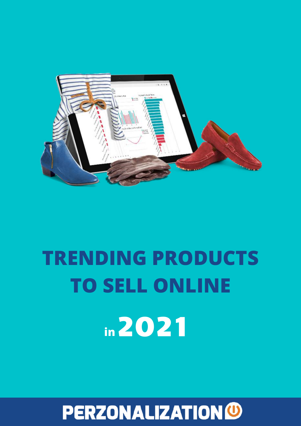

# **TRENDING PRODUCTS TO SELL ONLINE in**2021

## **PERZONALIZATIONO**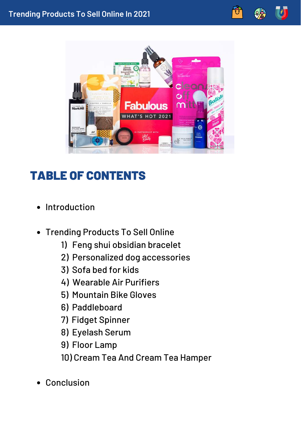

### TABLE OF CONTENTS

- Introduction
- Trending Products To Sell Online
	- 1) Feng shui obsidian bracelet
	- 2) Personalized dog accessories
	- 3) Sofa bed for kids
	- 4) Wearable Air Purifiers
	- 5) Mountain Bike Gloves
	- 6) Paddleboard
	- 7) Fidget Spinner
	- 8) Eyelash Serum
	- 9) Floor Lamp
	- 10) Cream Tea And Cream Tea Hamper
- Conclusion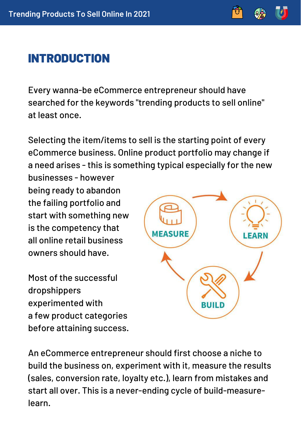### INTRODUCTION

Every wanna-be eCommerce entrepreneur should have searched for the keywords "trending products to sell online" at least once.

Selecting the item/items to sell is the starting point of every eCommerce business. Online product portfolio may change if a need arises - this is something typical especially for the new

businesses - however being ready to abandon the failing portfolio and start with something new is the competency that all online retail business owners should have.

Most of the successful dropshippers experimented with a few product categories before attaining success.



An eCommerce entrepreneur should first choose a niche to build the business on, experiment with it, measure the results (sales, conversion rate, loyalty etc.), learn from mistakes and start all over. This is a never-ending cycle of build-measurelearn.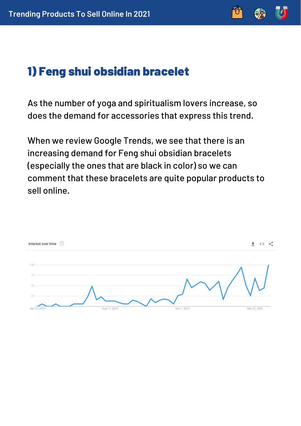

### 1) Feng shui obsidian bracelet

As the number of yoga and spiritualism lovers increase, so does the demand for accessories that express this trend.

When we review Google Trends, we see that there is an increasing demand for Feng shui obsidian bracelets (especially the ones that are black in color) so we can comment that these bracelets are quite popular products to sell online.

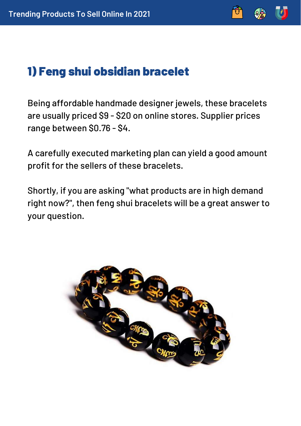

### 1) Feng shui obsidian bracelet

Being affordable handmade designer jewels, these bracelets are usually priced \$9 - \$20 on online stores. Supplier prices range between \$0.76 - \$4.

A carefully executed marketing plan can yield a good amount profit for the sellers of these bracelets.

Shortly, if you are asking "what products are in high demand right now?", then feng shui bracelets will be a great answer to your question.

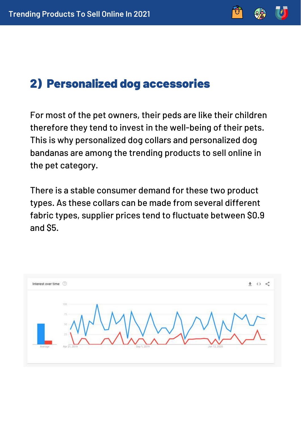### 2) Personalized dog accessories

For most of the pet owners, their peds are like their children therefore they tend to invest in the well-being of their pets. This is why personalized dog collars and personalized dog bandanas are among the trending products to sell online in the pet category.

There is a stable consumer demand for these two product types. As these collars can be made from several different fabric types, supplier prices tend to fluctuate between \$0.9 and \$5.

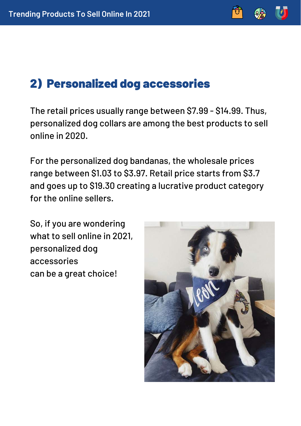### 2) Personalized dog accessories

The retail prices usually range between \$7.99 - \$14.99. Thus, personalized dog collars are among the best products to sell online in 2020.

For the personalized dog bandanas, the wholesale prices range between \$1.03 to \$3.97. Retail price starts from \$3.7 and goes up to \$19.30 creating a lucrative product category for the online sellers.

So, if you are wondering what to sell online in 2021, personalized dog accessories can be a great choice!

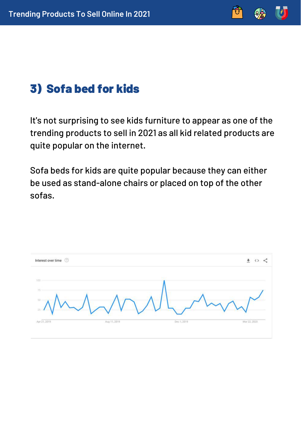

### 3) Sofa bed for kids

It's not surprising to see kids furniture to appear as one of the trending products to sell in 2021 as all kid related products are quite popular on the internet.

Sofa beds for kids are quite popular because they can either be used as stand-alone chairs or placed on top of the other sofas.

| <b>STATE</b><br>100<br>75                                   | Interest over time © |  | ≺<br>₩ ◇ |
|-------------------------------------------------------------|----------------------|--|----------|
| $25 - 4$                                                    | 50                   |  |          |
| Apr 21, 2019<br>Aug 11, 2019<br>Dec 1, 2019<br>Mar 22, 2020 |                      |  |          |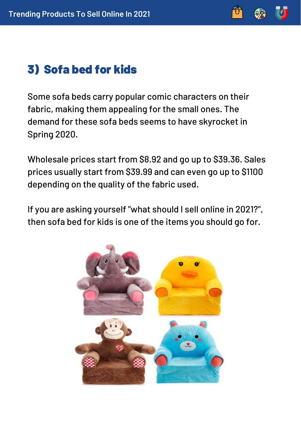

### 3) Sofa bed for kids

Some sofa beds carry popular comic characters on their fabric, making them appealing for the small ones. The demand for these sofa beds seems to have skyrocket in Spring 2020.

Wholesale prices start from \$8.92 and go up to \$39.36. Sales prices usually start from \$39.99 and can even go up to \$1100 depending on the quality of the fabric used.

If you are asking yourself "what should I sell online in 2021?", then sofa bed for kids is one of the items you should go for.

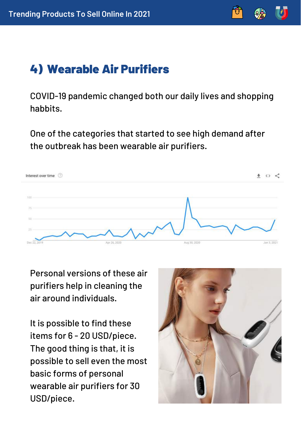

### 4) Wearable Air Purifiers

COVID-19 pandemic changed both our daily lives and shopping habbits.

One of the categories that started to see high demand after the outbreak has been wearable air purifiers.



Personal versions of these air purifiers help in cleaning the air around individuals.

It is possible to find these items for 6 - 20 USD/piece. The good thing is that, it is possible to sell even the most basic forms of personal wearable air purifiers for 30 USD/piece.

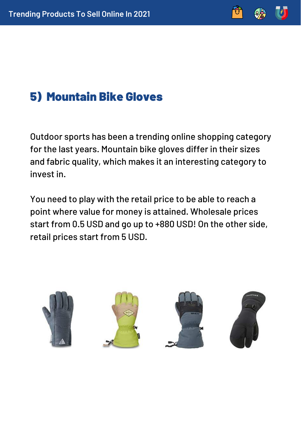### 5) Mountain Bike Gloves

Outdoor sports has been a trending online shopping category for the last years. Mountain bike gloves differ in their sizes and fabric quality, which makes it an interesting category to invest in.

You need to play with the retail price to be able to reach a point where value for money is attained. Wholesale prices start from 0.5 USD and go up to +880 USD! On the other side, retail prices start from 5 USD.

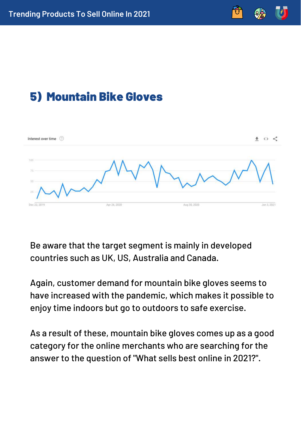



Be aware that the target segment is mainly in developed countries such as UK, US, Australia and Canada.

Again, customer demand for mountain bike gloves seems to have increased with the pandemic, which makes it possible to enjoy time indoors but go to outdoors to safe exercise.

As a result of these, mountain bike gloves comes up as a good category for the online merchants who are searching for the answer to the question of "What sells best online in 2021?".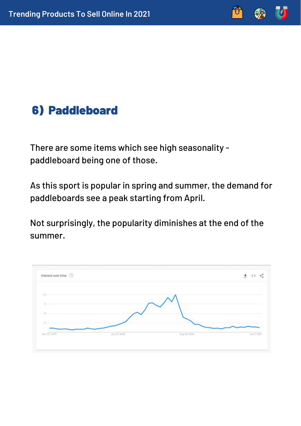### 6) Paddleboard

There are some items which see high seasonality paddleboard being one of those.

As this sport is popular in spring and summer, the demand for paddleboards see a peak starting from April.

Not surprisingly, the popularity diminishes at the end of the summer.

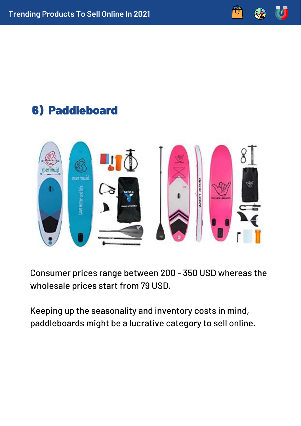### 6) Paddleboard



Consumer prices range between 200 - 350 USD whereas the wholesale prices start from 79 USD.

Keeping up the seasonality and inventory costs in mind, paddleboards might be a lucrative category to sell online.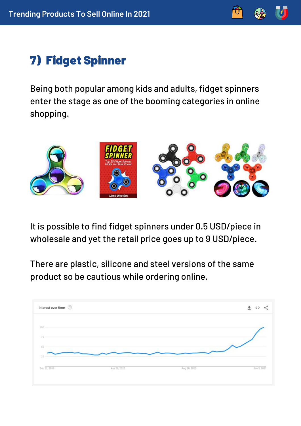

### 7) Fidget Spinner

Being both popular among kids and adults, fidget spinners enter the stage as one of the booming categories in online shopping.



It is possible to find fidget spinners under 0.5 USD/piece in wholesale and yet the retail price goes up to 9 USD/piece.

There are plastic, silicone and steel versions of the same product so be cautious while ordering online.

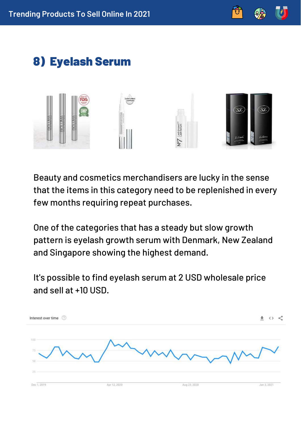

### 8) Eyelash Serum



Beauty and cosmetics merchandisers are lucky in the sense that the items in this category need to be replenished in every few months requiring repeat purchases.

One of the categories that has a steady but slow growth pattern is eyelash growth serum with Denmark, New Zealand and Singapore showing the highest demand.

It's possible to find eyelash serum at 2 USD wholesale price and sell at +10 USD.

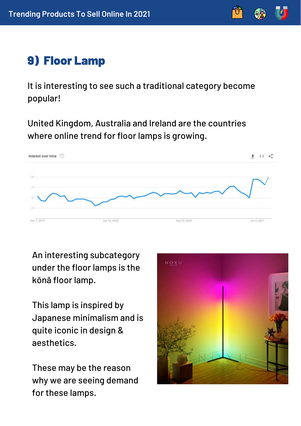

### 9) Floor Lamp

It is interesting to see such a traditional category become popular!

United Kingdom, Australia and Ireland are the countries where online trend for floor lamps is growing.



An interesting subcategory under the floor lamps is the kōnā floor lamp.

This lamp is inspired by Japanese minimalism and is quite iconic in design & aesthetics.

These may be the reason why we are seeing demand for these lamps.

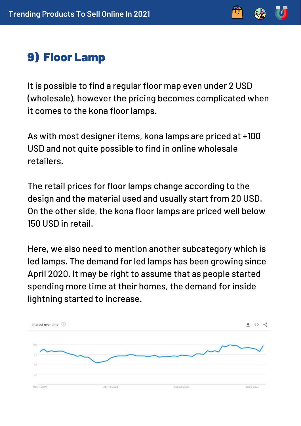

### 9) Floor Lamp

It is possible to find a regular floor map even under 2 USD (wholesale), however the pricing becomes complicated when it comes to the kona floor lamps.

As with most designer items, kona lamps are priced at +100 USD and not quite possible to find in online wholesale retailers.

The retail prices for floor lamps change according to the design and the material used and usually start from 20 USD. On the other side, the kona floor lamps are priced well below 150 USD in retail.

Here, we also need to mention another subcategory which is led lamps. The demand for led lamps has been growing since April 2020. It may be right to assume that as people started spending more time at their homes, the demand for inside lightning started to increase.

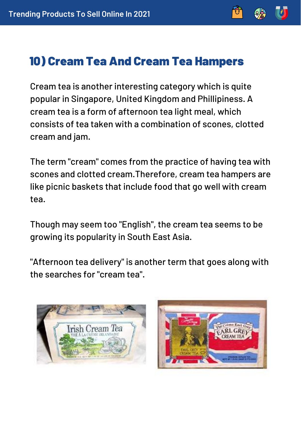

### 10) Cream Tea And Cream Tea Hampers

Cream tea is another interesting category which is quite popular in Singapore, United Kingdom and Phillipiness. A cream tea is a form of afternoon tea light meal, which consists of tea taken with a combination of scones, clotted cream and jam.

The term "cream" comes from the practice of having tea with scones and clotted cream.Therefore, cream tea hampers are like picnic baskets that include food that go well with cream tea.

Though may seem too "English", the cream tea seems to be growing its popularity in South East Asia.

"Afternoon tea delivery" is another term that goes along with the searches for "cream tea".



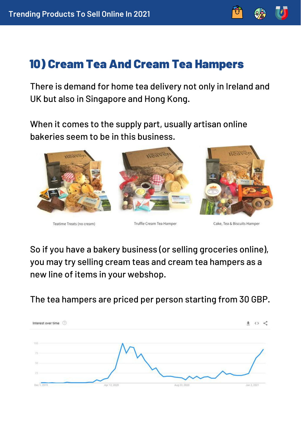

There is demand for home tea delivery not only in Ireland and UK but also in Singapore and Hong Kong.

When it comes to the supply part, usually artisan online bakeries seem to be in this business.



Teatime Treats (no cream)

Truffle Cream Tea Hamper

Cake, Tea & Biscuits Hamper

So if you have a bakery business (or selling groceries online), you may try selling cream teas and cream tea hampers as a new line of items in your webshop.

The tea hampers are priced per person starting from 30 GBP.

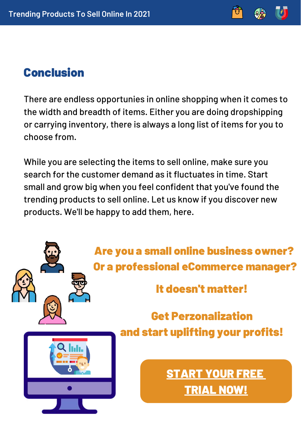

### Conclusion

There are endless opportunies in online shopping when it comes to the width and breadth of items. Either you are doing dropshipping or carrying inventory, there is always a long list of items for you to choose from.

While you are selecting the items to sell online, make sure you search for the customer demand as it fluctuates in time. Start small and grow big when you feel confident that you've found the trending products to sell online. Let us know if you discover new products. We'll be happy to add them, here.